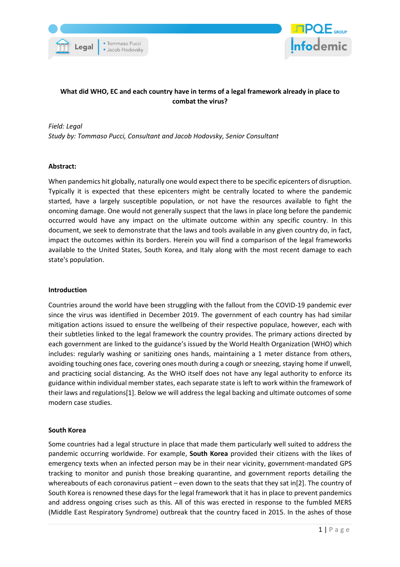



# **What did WHO, EC and each country have in terms of a legal framework already in place to combat the virus?**

# *Field: Legal Study by: Tommaso Pucci, Consultant and Jacob Hodovsky, Senior Consultant*

### **Abstract:**

When pandemics hit globally, naturally one would expect there to be specific epicenters of disruption. Typically it is expected that these epicenters might be centrally located to where the pandemic started, have a largely susceptible population, or not have the resources available to fight the oncoming damage. One would not generally suspect that the laws in place long before the pandemic occurred would have any impact on the ultimate outcome within any specific country. In this document, we seek to demonstrate that the laws and tools available in any given country do, in fact, impact the outcomes within its borders. Herein you will find a comparison of the legal frameworks available to the United States, South Korea, and Italy along with the most recent damage to each state's population.

### **Introduction**

Countries around the world have been struggling with the fallout from the COVID-19 pandemic ever since the virus was identified in December 2019. The government of each country has had similar mitigation actions issued to ensure the wellbeing of their respective populace, however, each with their subtleties linked to the legal framework the country provides. The primary actions directed by each government are linked to the guidance's issued by the World Health Organization (WHO) which includes: regularly washing or sanitizing ones hands, maintaining a 1 meter distance from others, avoiding touching ones face, covering ones mouth during a cough or sneezing, staying home if unwell, and practicing social distancing. As the WHO itself does not have any legal authority to enforce its guidance within individual member states, each separate state is left to work within the framework of their laws and regulations[1]. Below we will address the legal backing and ultimate outcomes ofsome modern case studies.

### **South Korea**

Some countries had a legal structure in place that made them particularly well suited to address the pandemic occurring worldwide. For example, **South Korea** provided their citizens with the likes of emergency texts when an infected person may be in their near vicinity, government-mandated GPS tracking to monitor and punish those breaking quarantine, and government reports detailing the whereabouts of each coronavirus patient – even down to the seats that they sat in[2]. The country of South Korea is renowned these days for the legal framework that it hasin place to prevent pandemics and address ongoing crises such as this. All of this was erected in response to the fumbled MERS (Middle East Respiratory Syndrome) outbreak that the country faced in 2015. In the ashes of those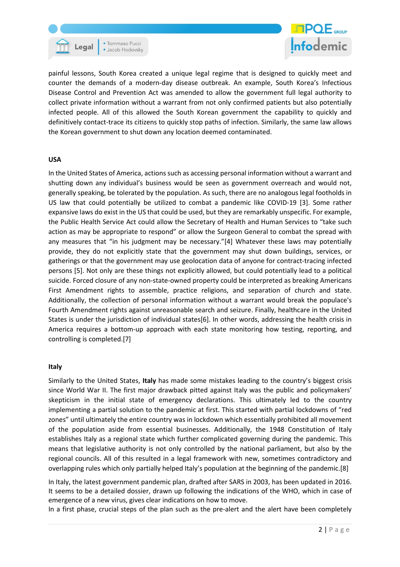

· Tommaso Pucci Jacob Hodovsky



painful lessons, South Korea created a unique legal regime that is designed to quickly meet and counter the demands of a modern-day disease outbreak. An example, South Korea's Infectious Disease Control and Prevention Act was amended to allow the government full legal authority to collect private information without a warrant from not only confirmed patients but also potentially infected people. All of this allowed the South Korean government the capability to quickly and definitively contact-trace its citizens to quickly stop paths of infection. Similarly, the same law allows the Korean government to shut down any location deemed contaminated.

### **USA**

In the United States of America, actions such as accessing personal information without a warrant and shutting down any individual's business would be seen as government overreach and would not, generally speaking, be tolerated by the population. As such, there are no analogous legal footholds in US law that could potentially be utilized to combat a pandemic like COVID-19 [3]. Some rather expansive laws do exist in the US that could be used, but they are remarkably unspecific. For example, the Public Health Service Act could allow the Secretary of Health and Human Services to "take such action as may be appropriate to respond" or allow the Surgeon General to combat the spread with any measures that "in his judgment may be necessary."[4] Whatever these laws may potentially provide, they do not explicitly state that the government may shut down buildings, services, or gatherings or that the government may use geolocation data of anyone for contract-tracing infected persons [5]. Not only are these things not explicitly allowed, but could potentially lead to a political suicide. Forced closure of any non-state-owned property could be interpreted as breaking Americans First Amendment rights to assemble, practice religions, and separation of church and state. Additionally, the collection of personal information without a warrant would break the populace's Fourth Amendment rights against unreasonable search and seizure. Finally, healthcare in the United States is under the jurisdiction of individual states[6]. In other words, addressing the health crisis in America requires a bottom-up approach with each state monitoring how testing, reporting, and controlling is completed.[7]

#### **Italy**

Similarly to the United States, **Italy** has made some mistakes leading to the country's biggest crisis since World War II. The first major drawback pitted against Italy was the public and policymakers' skepticism in the initial state of emergency declarations. This ultimately led to the country implementing a partial solution to the pandemic at first. This started with partial lockdowns of "red zones" until ultimately the entire country was in lockdown which essentially prohibited all movement of the population aside from essential businesses. Additionally, the 1948 Constitution of Italy establishes Italy as a regional state which further complicated governing during the pandemic. This means that legislative authority is not only controlled by the national parliament, but also by the regional councils. All of this resulted in a legal framework with new, sometimes contradictory and overlapping rules which only partially helped Italy's population at the beginning of the pandemic.[8]

In Italy, the latest government pandemic plan, drafted after SARS in 2003, has been updated in 2016. It seems to be a detailed dossier, drawn up following the indications of the WHO, which in case of emergence of a new virus, gives clear indications on how to move.

In a first phase, crucial steps of the plan such as the pre-alert and the alert have been completely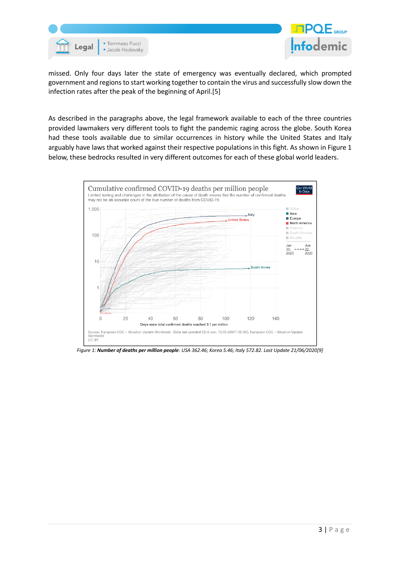

missed. Only four days later the state of emergency was eventually declared, which prompted government and regions to start working together to contain the virus and successfully slow down the infection rates after the peak of the beginning of April.[5]

As described in the paragraphs above, the legal framework available to each of the three countries provided lawmakers very different tools to fight the pandemic raging across the globe. South Korea had these tools available due to similar occurrences in history while the United States and Italy arguably have laws that worked against their respective populations in this fight. As shown in Figure 1 below, these bedrocks resulted in very different outcomes for each of these global world leaders.



*Figure 1: Number of deaths per million people: USA 362.46; Korea 5.46; Italy 572.82. Last Update 21/06/2020[9]*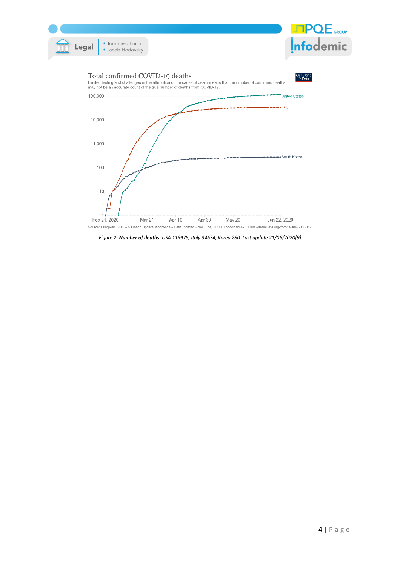

*Figure 2: Number of deaths: USA 119975, Italy 34634, Korea 280. Last update 21/06/2020[9]*